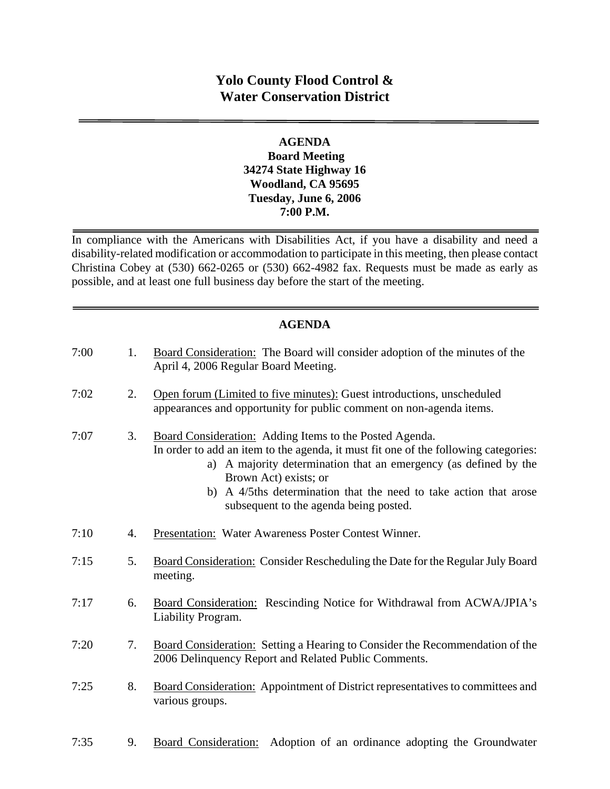# **Yolo County Flood Control & Water Conservation District**

### **AGENDA Board Meeting 34274 State Highway 16 Woodland, CA 95695 Tuesday, June 6, 2006 7:00 P.M.**

In compliance with the Americans with Disabilities Act, if you have a disability and need a disability-related modification or accommodation to participate in this meeting, then please contact Christina Cobey at (530) 662-0265 or (530) 662-4982 fax. Requests must be made as early as possible, and at least one full business day before the start of the meeting.

# **AGENDA**

| 7:00 | 1. | Board Consideration: The Board will consider adoption of the minutes of the<br>April 4, 2006 Regular Board Meeting.                                                                                                                                                                                                                                        |
|------|----|------------------------------------------------------------------------------------------------------------------------------------------------------------------------------------------------------------------------------------------------------------------------------------------------------------------------------------------------------------|
| 7:02 | 2. | Open forum (Limited to five minutes): Guest introductions, unscheduled<br>appearances and opportunity for public comment on non-agenda items.                                                                                                                                                                                                              |
| 7:07 | 3. | Board Consideration: Adding Items to the Posted Agenda.<br>In order to add an item to the agenda, it must fit one of the following categories:<br>a) A majority determination that an emergency (as defined by the<br>Brown Act) exists; or<br>b) A 4/5ths determination that the need to take action that arose<br>subsequent to the agenda being posted. |
| 7:10 | 4. | Presentation: Water Awareness Poster Contest Winner.                                                                                                                                                                                                                                                                                                       |
| 7:15 | 5. | Board Consideration: Consider Rescheduling the Date for the Regular July Board<br>meeting.                                                                                                                                                                                                                                                                 |
| 7:17 | 6. | Board Consideration: Rescinding Notice for Withdrawal from ACWA/JPIA's<br>Liability Program.                                                                                                                                                                                                                                                               |
| 7:20 | 7. | Board Consideration: Setting a Hearing to Consider the Recommendation of the<br>2006 Delinquency Report and Related Public Comments.                                                                                                                                                                                                                       |
| 7:25 | 8. | Board Consideration: Appointment of District representatives to committees and<br>various groups.                                                                                                                                                                                                                                                          |
|      |    |                                                                                                                                                                                                                                                                                                                                                            |

7:35 9. Board Consideration: Adoption of an ordinance adopting the Groundwater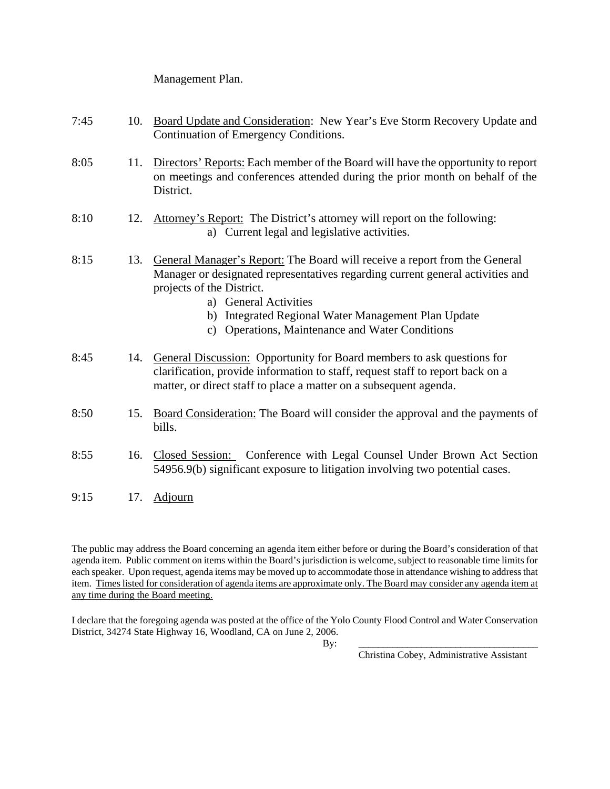#### Management Plan.

| 7:45 | 10. | Board Update and Consideration: New Year's Eve Storm Recovery Update and<br>Continuation of Emergency Conditions.                                                                                                                                                                                                                               |
|------|-----|-------------------------------------------------------------------------------------------------------------------------------------------------------------------------------------------------------------------------------------------------------------------------------------------------------------------------------------------------|
| 8:05 | 11. | Directors' Reports: Each member of the Board will have the opportunity to report<br>on meetings and conferences attended during the prior month on behalf of the<br>District.                                                                                                                                                                   |
| 8:10 | 12. | Attorney's Report: The District's attorney will report on the following:<br>a) Current legal and legislative activities.                                                                                                                                                                                                                        |
| 8:15 | 13. | General Manager's Report: The Board will receive a report from the General<br>Manager or designated representatives regarding current general activities and<br>projects of the District.<br>a) General Activities<br>Integrated Regional Water Management Plan Update<br>b)<br>Operations, Maintenance and Water Conditions<br>$\mathcal{C}$ ) |
| 8:45 |     | 14. General Discussion: Opportunity for Board members to ask questions for<br>clarification, provide information to staff, request staff to report back on a<br>matter, or direct staff to place a matter on a subsequent agenda.                                                                                                               |
| 8:50 | 15. | Board Consideration: The Board will consider the approval and the payments of<br>bills.                                                                                                                                                                                                                                                         |
| 8:55 | 16. | Closed Session: Conference with Legal Counsel Under Brown Act Section<br>54956.9(b) significant exposure to litigation involving two potential cases.                                                                                                                                                                                           |
| 9:15 | 17. | <b>Adjourn</b>                                                                                                                                                                                                                                                                                                                                  |

The public may address the Board concerning an agenda item either before or during the Board's consideration of that agenda item. Public comment on items within the Board's jurisdiction is welcome, subject to reasonable time limits for each speaker. Upon request, agenda items may be moved up to accommodate those in attendance wishing to address that item. Times listed for consideration of agenda items are approximate only. The Board may consider any agenda item at any time during the Board meeting.

I declare that the foregoing agenda was posted at the office of the Yolo County Flood Control and Water Conservation District, 34274 State Highway 16, Woodland, CA on June 2, 2006.

By: \_\_\_\_\_\_\_\_\_\_\_\_\_\_\_\_\_\_\_\_\_\_\_\_\_\_\_\_\_\_\_\_\_\_\_\_\_

Christina Cobey, Administrative Assistant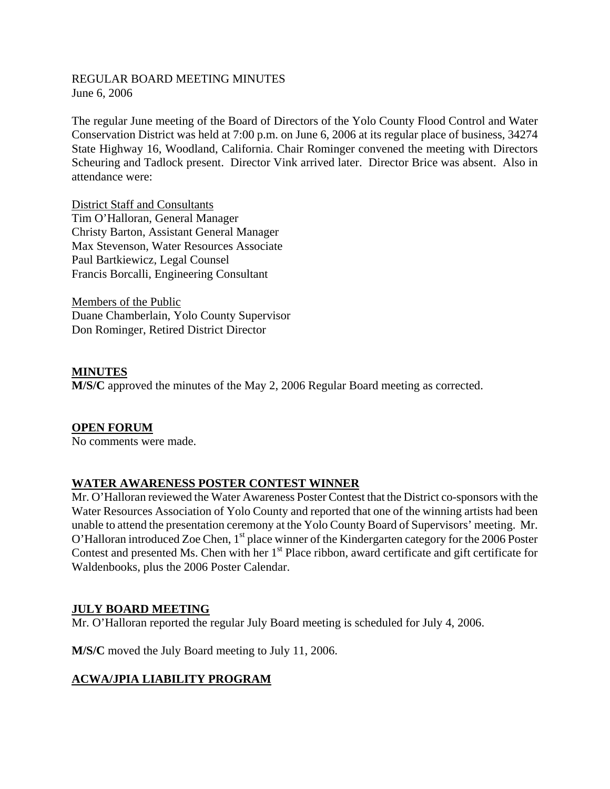### REGULAR BOARD MEETING MINUTES June 6, 2006

The regular June meeting of the Board of Directors of the Yolo County Flood Control and Water Conservation District was held at 7:00 p.m. on June 6, 2006 at its regular place of business, 34274 State Highway 16, Woodland, California. Chair Rominger convened the meeting with Directors Scheuring and Tadlock present. Director Vink arrived later. Director Brice was absent. Also in attendance were:

District Staff and Consultants Tim O'Halloran, General Manager Christy Barton, Assistant General Manager Max Stevenson, Water Resources Associate Paul Bartkiewicz, Legal Counsel Francis Borcalli, Engineering Consultant

Members of the Public Duane Chamberlain, Yolo County Supervisor Don Rominger, Retired District Director

### **MINUTES**

**M/S/C** approved the minutes of the May 2, 2006 Regular Board meeting as corrected.

#### **OPEN FORUM**

No comments were made.

#### **WATER AWARENESS POSTER CONTEST WINNER**

Mr. O'Halloran reviewed the Water Awareness Poster Contest that the District co-sponsors with the Water Resources Association of Yolo County and reported that one of the winning artists had been unable to attend the presentation ceremony at the Yolo County Board of Supervisors' meeting. Mr. O'Halloran introduced Zoe Chen, 1<sup>st</sup> place winner of the Kindergarten category for the 2006 Poster Contest and presented Ms. Chen with her 1<sup>st</sup> Place ribbon, award certificate and gift certificate for Waldenbooks, plus the 2006 Poster Calendar.

# **JULY BOARD MEETING**

Mr. O'Halloran reported the regular July Board meeting is scheduled for July 4, 2006.

**M/S/C** moved the July Board meeting to July 11, 2006.

# **ACWA/JPIA LIABILITY PROGRAM**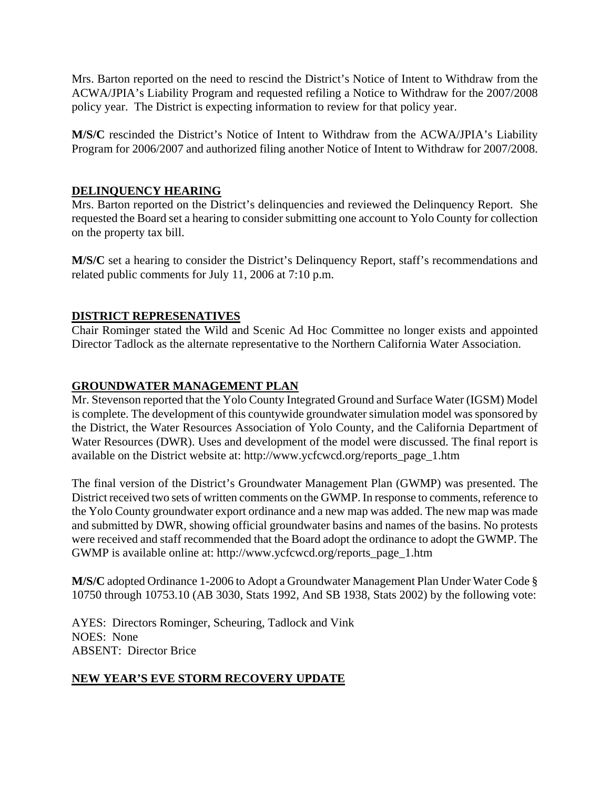Mrs. Barton reported on the need to rescind the District's Notice of Intent to Withdraw from the ACWA/JPIA's Liability Program and requested refiling a Notice to Withdraw for the 2007/2008 policy year. The District is expecting information to review for that policy year.

**M/S/C** rescinded the District's Notice of Intent to Withdraw from the ACWA/JPIA's Liability Program for 2006/2007 and authorized filing another Notice of Intent to Withdraw for 2007/2008.

# **DELINQUENCY HEARING**

Mrs. Barton reported on the District's delinquencies and reviewed the Delinquency Report. She requested the Board set a hearing to consider submitting one account to Yolo County for collection on the property tax bill.

**M/S/C** set a hearing to consider the District's Delinquency Report, staff's recommendations and related public comments for July 11, 2006 at 7:10 p.m.

# **DISTRICT REPRESENATIVES**

Chair Rominger stated the Wild and Scenic Ad Hoc Committee no longer exists and appointed Director Tadlock as the alternate representative to the Northern California Water Association.

# **GROUNDWATER MANAGEMENT PLAN**

Mr. Stevenson reported that the Yolo County Integrated Ground and Surface Water (IGSM) Model is complete. The development of this countywide groundwater simulation model was sponsored by the District, the Water Resources Association of Yolo County, and the California Department of Water Resources (DWR). Uses and development of the model were discussed. The final report is available on the District website at: [http://www.ycfcwcd.org/reports\\_page\\_1.htm](http://www.ycfcwcd.org/reports_page_1.htm) 

The final version of the District's Groundwater Management Plan (GWMP) was presented. The District received two sets of written comments on the GWMP. In response to comments, reference to the Yolo County groundwater export ordinance and a new map was added. The new map was made and submitted by DWR, showing official groundwater basins and names of the basins. No protests were received and staff recommended that the Board adopt the ordinance to adopt the GWMP. The GWMP is available online at: [http://www.ycfcwcd.org/reports\\_page\\_1.htm](http://www.ycfcwcd.org/reports_page_1.htm) 

**M/S/C** adopted Ordinance 1-2006 to Adopt a Groundwater Management Plan Under Water Code § 10750 through 10753.10 (AB 3030, Stats 1992, And SB 1938, Stats 2002) by the following vote:

AYES: Directors Rominger, Scheuring, Tadlock and Vink NOES: None ABSENT: Director Brice

# **NEW YEAR'S EVE STORM RECOVERY UPDATE**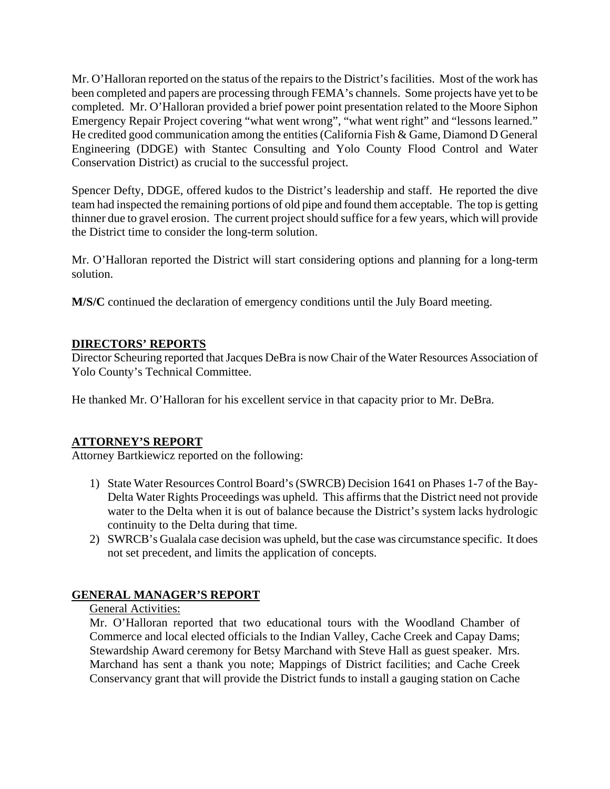Mr. O'Halloran reported on the status of the repairs to the District's facilities. Most of the work has been completed and papers are processing through FEMA's channels. Some projects have yet to be completed. Mr. O'Halloran provided a brief power point presentation related to the Moore Siphon Emergency Repair Project covering "what went wrong", "what went right" and "lessons learned." He credited good communication among the entities (California Fish & Game, Diamond D General Engineering (DDGE) with Stantec Consulting and Yolo County Flood Control and Water Conservation District) as crucial to the successful project.

Spencer Defty, DDGE, offered kudos to the District's leadership and staff. He reported the dive team had inspected the remaining portions of old pipe and found them acceptable. The top is getting thinner due to gravel erosion. The current project should suffice for a few years, which will provide the District time to consider the long-term solution.

Mr. O'Halloran reported the District will start considering options and planning for a long-term solution.

**M/S/C** continued the declaration of emergency conditions until the July Board meeting.

# **DIRECTORS' REPORTS**

Director Scheuring reported that Jacques DeBra is now Chair of the Water Resources Association of Yolo County's Technical Committee.

He thanked Mr. O'Halloran for his excellent service in that capacity prior to Mr. DeBra.

# **ATTORNEY'S REPORT**

Attorney Bartkiewicz reported on the following:

- 1) State Water Resources Control Board's (SWRCB) Decision 1641 on Phases 1-7 of the Bay-Delta Water Rights Proceedings was upheld. This affirms that the District need not provide water to the Delta when it is out of balance because the District's system lacks hydrologic continuity to the Delta during that time.
- 2) SWRCB's Gualala case decision was upheld, but the case was circumstance specific. It does not set precedent, and limits the application of concepts.

# **GENERAL MANAGER'S REPORT**

# General Activities:

Mr. O'Halloran reported that two educational tours with the Woodland Chamber of Commerce and local elected officials to the Indian Valley, Cache Creek and Capay Dams; Stewardship Award ceremony for Betsy Marchand with Steve Hall as guest speaker. Mrs. Marchand has sent a thank you note; Mappings of District facilities; and Cache Creek Conservancy grant that will provide the District funds to install a gauging station on Cache